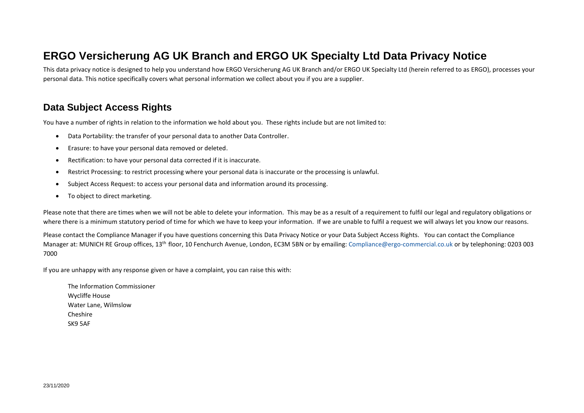# **ERGO Versicherung AG UK Branch and ERGO UK Specialty Ltd Data Privacy Notice**

This data privacy notice is designed to help you understand how ERGO Versicherung AG UK Branch and/or ERGO UK Specialty Ltd (herein referred to as ERGO), processes your personal data. This notice specifically covers what personal information we collect about you if you are a supplier.

#### **Data Subject Access Rights**

You have a number of rights in relation to the information we hold about you. These rights include but are not limited to:

- Data Portability: the transfer of your personal data to another Data Controller.
- Erasure: to have your personal data removed or deleted.
- Rectification: to have your personal data corrected if it is inaccurate.
- Restrict Processing: to restrict processing where your personal data is inaccurate or the processing is unlawful.
- Subject Access Request: to access your personal data and information around its processing.
- To object to direct marketing.

Please note that there are times when we will not be able to delete your information. This may be as a result of a reguirement to fulfil our legal and regulatory obligations or where there is a minimum statutory period of time for which we have to keep your information. If we are unable to fulfil a request we will always let you know our reasons.

Please contact the Compliance Manager if you have questions concerning this Data Privacy Notice or your Data Subject Access Rights. You can contact the Compliance Manager at: MUNICH RE Group offices, 13<sup>th</sup> floor, 10 Fenchurch Avenue, London, EC3M 5BN or by emailing[: Compliance@ergo-commercial.co.uk](mailto:Compliance@ergo-commercial.co.uk) or by telephoning: 0203 003 7000

If you are unhappy with any response given or have a complaint, you can raise this with:

The Information Commissioner Wycliffe House Water Lane, Wilmslow Cheshire SK9 5AF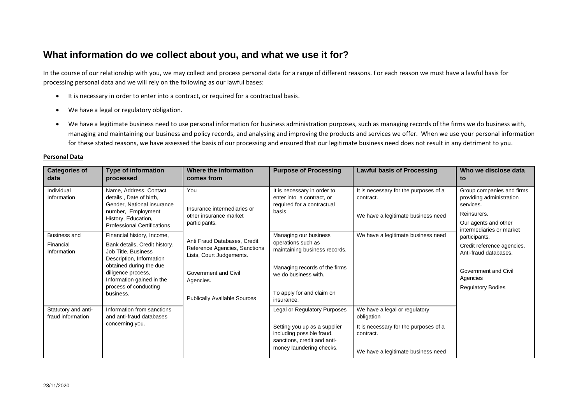#### **What information do we collect about you, and what we use it for?**

In the course of our relationship with you, we may collect and process personal data for a range of different reasons. For each reason we must have a lawful basis for processing personal data and we will rely on the following as our lawful bases:

- It is necessary in order to enter into a contract, or required for a contractual basis.
- We have a legal or regulatory obligation.
- We have a legitimate business need to use personal information for business administration purposes, such as managing records of the firms we do business with, managing and maintaining our business and policy records, and analysing and improving the products and services we offer. When we use your personal information for these stated reasons, we have assessed the basis of our processing and ensured that our legitimate business need does not result in any detriment to you.

| <b>Categories of</b><br>data                    | <b>Type of information</b><br>processed                                                                                                                                                                                            | Where the information<br>comes from                                                                                                                                   | <b>Purpose of Processing</b>                                                                                                                                                     | <b>Lawful basis of Processing</b>                                                                                                       | Who we disclose data<br>to                                                                                                                                                                                                                                                    |
|-------------------------------------------------|------------------------------------------------------------------------------------------------------------------------------------------------------------------------------------------------------------------------------------|-----------------------------------------------------------------------------------------------------------------------------------------------------------------------|----------------------------------------------------------------------------------------------------------------------------------------------------------------------------------|-----------------------------------------------------------------------------------------------------------------------------------------|-------------------------------------------------------------------------------------------------------------------------------------------------------------------------------------------------------------------------------------------------------------------------------|
| Individual<br>Information                       | Name, Address, Contact<br>details, Date of birth,<br>Gender, National insurance<br>number, Employment<br>History, Education,<br><b>Professional Certifications</b>                                                                 | You<br>Insurance intermediaries or<br>other insurance market<br>participants.                                                                                         | It is necessary in order to<br>enter into a contract, or<br>required for a contractual<br>basis                                                                                  | It is necessary for the purposes of a<br>contract.<br>We have a legitimate business need                                                | Group companies and firms<br>providing administration<br>services.<br>Reinsurers.<br>Our agents and other<br>intermediaries or market<br>participants.<br>Credit reference agencies.<br>Anti-fraud databases.<br>Government and Civil<br>Agencies<br><b>Regulatory Bodies</b> |
| <b>Business and</b><br>Financial<br>Information | Financial history, Income,<br>Bank details, Credit history,<br>Job Title, Business<br>Description, Information<br>obtained during the due<br>diligence process,<br>Information gained in the<br>process of conducting<br>business. | Anti Fraud Databases, Credit<br>Reference Agencies, Sanctions<br>Lists, Court Judgements.<br>Government and Civil<br>Agencies.<br><b>Publically Available Sources</b> | Managing our business<br>operations such as<br>maintaining business records.<br>Managing records of the firms<br>we do business with.<br>To apply for and claim on<br>insurance. | We have a legitimate business need                                                                                                      |                                                                                                                                                                                                                                                                               |
| Statutory and anti-<br>fraud information        | Information from sanctions<br>and anti-fraud databases<br>concerning you.                                                                                                                                                          |                                                                                                                                                                       | Legal or Regulatory Purposes<br>Setting you up as a supplier<br>including possible fraud,<br>sanctions, credit and anti-<br>money laundering checks.                             | We have a legal or regulatory<br>obligation<br>It is necessary for the purposes of a<br>contract.<br>We have a legitimate business need |                                                                                                                                                                                                                                                                               |

#### **Personal Data**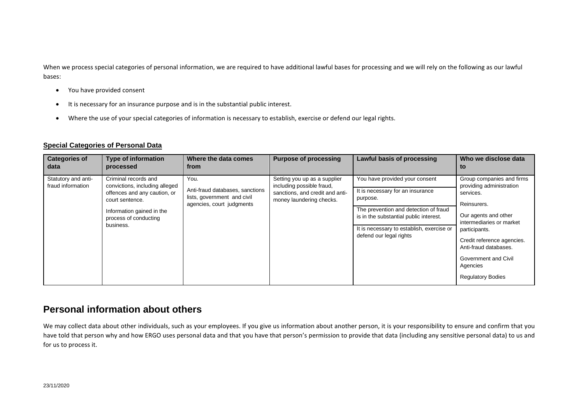When we process special categories of personal information, we are required to have additional lawful bases for processing and we will rely on the following as our lawful bases:

- You have provided consent
- It is necessary for an insurance purpose and is in the substantial public interest.
- Where the use of your special categories of information is necessary to establish, exercise or defend our legal rights.

#### **Special Categories of Personal Data**

| <b>Categories of</b><br>data             | <b>Type of information</b><br>processed                                                                                                                                      | Where the data comes<br>from                                                                        | <b>Purpose of processing</b>                                                                                             | Lawful basis of processing                                                                                                                                                                                                                | Who we disclose data<br>to                                                                                                                                                                                                                                                           |
|------------------------------------------|------------------------------------------------------------------------------------------------------------------------------------------------------------------------------|-----------------------------------------------------------------------------------------------------|--------------------------------------------------------------------------------------------------------------------------|-------------------------------------------------------------------------------------------------------------------------------------------------------------------------------------------------------------------------------------------|--------------------------------------------------------------------------------------------------------------------------------------------------------------------------------------------------------------------------------------------------------------------------------------|
| Statutory and anti-<br>fraud information | Criminal records and<br>convictions, including alleged<br>offences and any caution, or<br>court sentence.<br>Information gained in the<br>process of conducting<br>business. | You.<br>Anti-fraud databases, sanctions<br>lists, government and civil<br>agencies, court judgments | Setting you up as a supplier<br>including possible fraud,<br>sanctions, and credit and anti-<br>money laundering checks. | You have provided your consent<br>It is necessary for an insurance<br>purpose.<br>The prevention and detection of fraud<br>is in the substantial public interest.<br>It is necessary to establish, exercise or<br>defend our legal rights | Group companies and firms<br>providing administration<br>services.<br>Reinsurers.<br>Our agents and other<br>intermediaries or market<br>participants.<br>Credit reference agencies.<br>Anti-fraud databases.<br><b>Government and Civil</b><br>Agencies<br><b>Regulatory Bodies</b> |

#### **Personal information about others**

We may collect data about other individuals, such as your employees. If you give us information about another person, it is your responsibility to ensure and confirm that you have told that person why and how ERGO uses personal data and that you have that person's permission to provide that data (including any sensitive personal data) to us and for us to process it.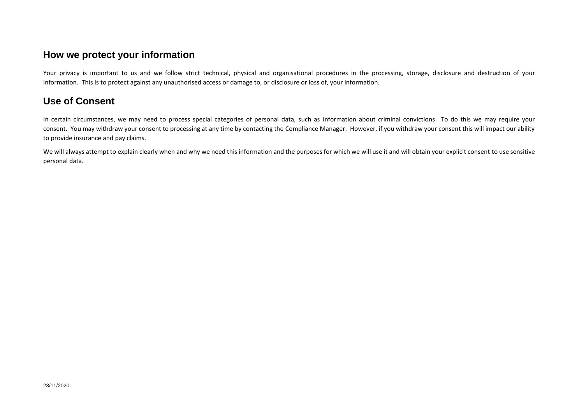#### **How we protect your information**

Your privacy is important to us and we follow strict technical, physical and organisational procedures in the processing, storage, disclosure and destruction of your information. This is to protect against any unauthorised access or damage to, or disclosure or loss of, your information.

## **Use of Consent**

In certain circumstances, we may need to process special categories of personal data, such as information about criminal convictions. To do this we may require your consent. You may withdraw your consent to processing at any time by contacting the Compliance Manager. However, if you withdraw your consent this will impact our ability to provide insurance and pay claims.

We will always attempt to explain clearly when and why we need this information and the purposes for which we will use it and will obtain your explicit consent to use sensitive personal data.